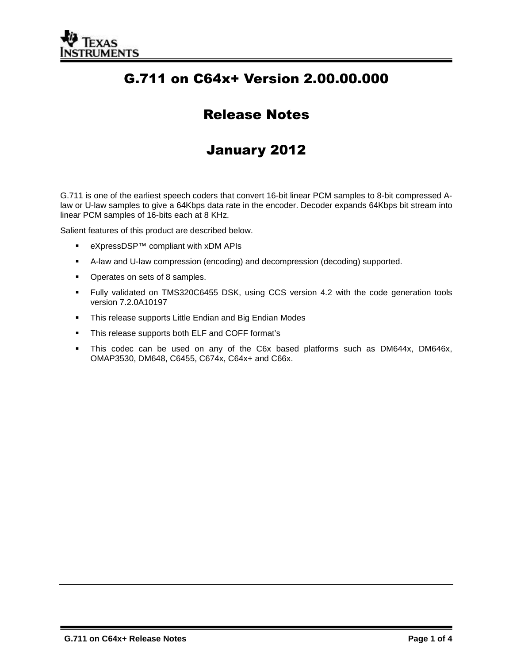

# G.711 on C64x+ Version 2.00.00.000

## Release Notes

## January 2012

G.711 is one of the earliest speech coders that convert 16-bit linear PCM samples to 8-bit compressed Alaw or U-law samples to give a 64Kbps data rate in the encoder. Decoder expands 64Kbps bit stream into linear PCM samples of 16-bits each at 8 KHz.

Salient features of this product are described below.

- eXpressDSP™ compliant with xDM APIs
- A-law and U-law compression (encoding) and decompression (decoding) supported.
- Operates on sets of 8 samples.
- Fully validated on TMS320C6455 DSK, using CCS version 4.2 with the code generation tools version 7.2.0A10197
- **This release supports Little Endian and Big Endian Modes**
- **This release supports both ELF and COFF format's**
- This codec can be used on any of the C6x based platforms such as DM644x, DM646x, OMAP3530, DM648, C6455, C674x, C64x+ and C66x.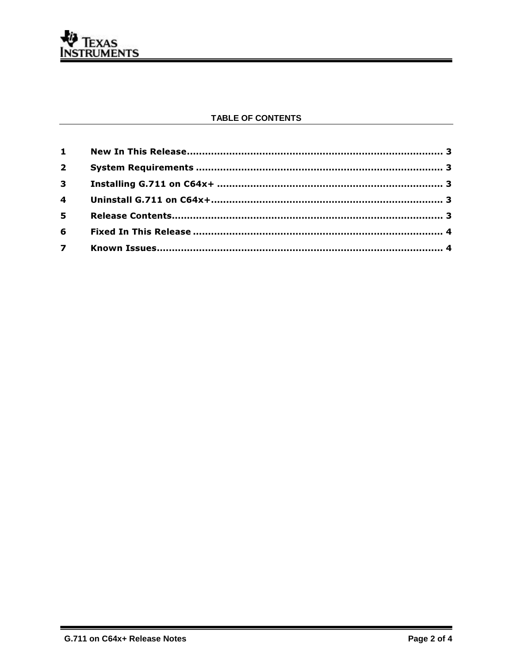

#### TABLE OF CONTENTS

| $\overline{2}$ |  |
|----------------|--|
|                |  |
|                |  |
|                |  |
|                |  |
| $\overline{7}$ |  |
|                |  |

▄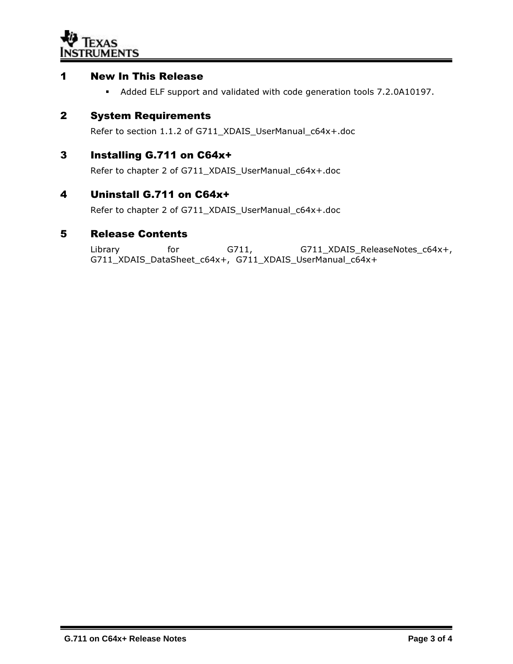

#### 1 New In This Release

Added ELF support and validated with code generation tools 7.2.0A10197.

### 2 System Requirements

Refer to section 1.1.2 of G711\_XDAIS\_UserManual\_c64x+.doc

#### 3 Installing G.711 on C64x+

Refer to chapter 2 of G711\_XDAIS\_UserManual\_c64x+.doc

#### 4 Uninstall G.711 on C64x+

Refer to chapter 2 of G711\_XDAIS\_UserManual\_c64x+.doc

#### 5 Release Contents

Library for G711, G711\_XDAIS\_ReleaseNotes\_c64x+, G711\_XDAIS\_DataSheet\_c64x+, G711\_XDAIS\_UserManual\_c64x+